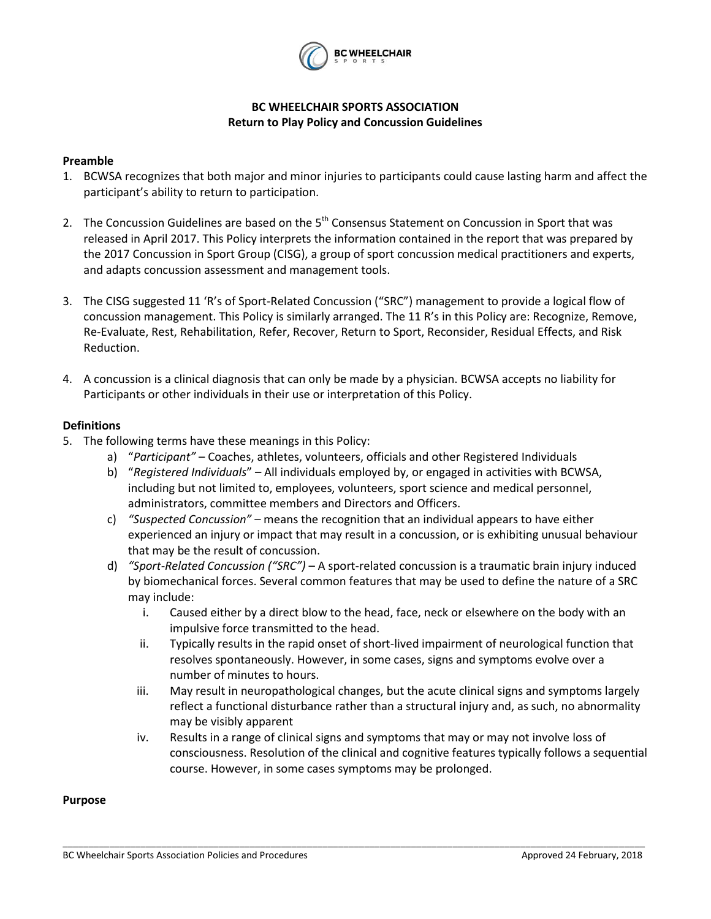

# **BC WHEELCHAIR SPORTS ASSOCIATION Return to Play Policy and Concussion Guidelines**

### **Preamble**

- 1. BCWSA recognizes that both major and minor injuries to participants could cause lasting harm and affect the participant's ability to return to participation.
- 2. The Concussion Guidelines are based on the  $5<sup>th</sup>$  Consensus Statement on Concussion in Sport that was released in April 2017. This Policy interprets the information contained in the report that was prepared by the 2017 Concussion in Sport Group (CISG), a group of sport concussion medical practitioners and experts, and adapts concussion assessment and management tools.
- 3. The CISG suggested 11 'R's of Sport-Related Concussion ("SRC") management to provide a logical flow of concussion management. This Policy is similarly arranged. The 11 R's in this Policy are: Recognize, Remove, Re-Evaluate, Rest, Rehabilitation, Refer, Recover, Return to Sport, Reconsider, Residual Effects, and Risk Reduction.
- 4. A concussion is a clinical diagnosis that can only be made by a physician. BCWSA accepts no liability for Participants or other individuals in their use or interpretation of this Policy.

### **Definitions**

- 5. The following terms have these meanings in this Policy:
	- a) "*Participant"*  Coaches, athletes, volunteers, officials and other Registered Individuals
	- b) "*Registered Individuals*" All individuals employed by, or engaged in activities with BCWSA, including but not limited to, employees, volunteers, sport science and medical personnel, administrators, committee members and Directors and Officers.
	- c) *"Suspected Concussion"*  means the recognition that an individual appears to have either experienced an injury or impact that may result in a concussion, or is exhibiting unusual behaviour that may be the result of concussion.
	- d) *"Sport-Related Concussion ("SRC")* A sport-related concussion is a traumatic brain injury induced by biomechanical forces. Several common features that may be used to define the nature of a SRC may include:
		- i. Caused either by a direct blow to the head, face, neck or elsewhere on the body with an impulsive force transmitted to the head.
		- ii. Typically results in the rapid onset of short-lived impairment of neurological function that resolves spontaneously. However, in some cases, signs and symptoms evolve over a number of minutes to hours.
		- iii. May result in neuropathological changes, but the acute clinical signs and symptoms largely reflect a functional disturbance rather than a structural injury and, as such, no abnormality may be visibly apparent
		- iv. Results in a range of clinical signs and symptoms that may or may not involve loss of consciousness. Resolution of the clinical and cognitive features typically follows a sequential course. However, in some cases symptoms may be prolonged.

\_\_\_\_\_\_\_\_\_\_\_\_\_\_\_\_\_\_\_\_\_\_\_\_\_\_\_\_\_\_\_\_\_\_\_\_\_\_\_\_\_\_\_\_\_\_\_\_\_\_\_\_\_\_\_\_\_\_\_\_\_\_\_\_\_\_\_\_\_\_\_\_\_\_\_\_\_\_\_\_\_\_\_\_\_\_\_\_\_\_\_\_\_\_\_\_\_\_\_\_\_\_\_\_\_\_\_\_\_\_\_\_

### **Purpose**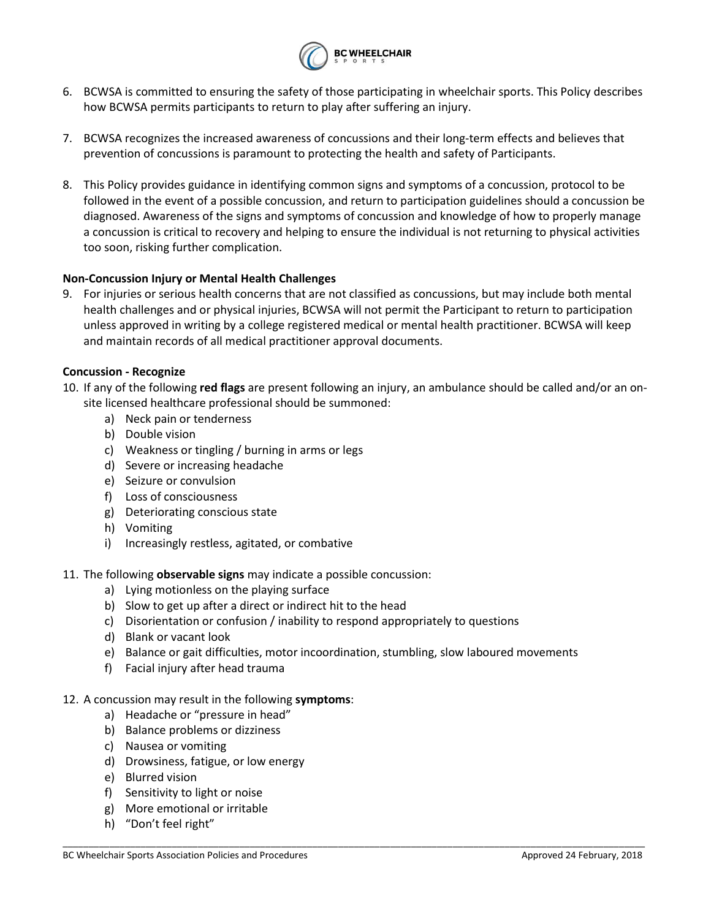

- 6. BCWSA is committed to ensuring the safety of those participating in wheelchair sports. This Policy describes how BCWSA permits participants to return to play after suffering an injury.
- 7. BCWSA recognizes the increased awareness of concussions and their long-term effects and believes that prevention of concussions is paramount to protecting the health and safety of Participants.
- 8. This Policy provides guidance in identifying common signs and symptoms of a concussion, protocol to be followed in the event of a possible concussion, and return to participation guidelines should a concussion be diagnosed. Awareness of the signs and symptoms of concussion and knowledge of how to properly manage a concussion is critical to recovery and helping to ensure the individual is not returning to physical activities too soon, risking further complication.

# **Non-Concussion Injury or Mental Health Challenges**

9. For injuries or serious health concerns that are not classified as concussions, but may include both mental health challenges and or physical injuries, BCWSA will not permit the Participant to return to participation unless approved in writing by a college registered medical or mental health practitioner. BCWSA will keep and maintain records of all medical practitioner approval documents.

### **Concussion - Recognize**

- 10. If any of the following **red flags** are present following an injury, an ambulance should be called and/or an onsite licensed healthcare professional should be summoned:
	- a) Neck pain or tenderness
	- b) Double vision
	- c) Weakness or tingling / burning in arms or legs
	- d) Severe or increasing headache
	- e) Seizure or convulsion
	- f) Loss of consciousness
	- g) Deteriorating conscious state
	- h) Vomiting
	- i) Increasingly restless, agitated, or combative
- 11. The following **observable signs** may indicate a possible concussion:
	- a) Lying motionless on the playing surface
	- b) Slow to get up after a direct or indirect hit to the head
	- c) Disorientation or confusion / inability to respond appropriately to questions
	- d) Blank or vacant look
	- e) Balance or gait difficulties, motor incoordination, stumbling, slow laboured movements

\_\_\_\_\_\_\_\_\_\_\_\_\_\_\_\_\_\_\_\_\_\_\_\_\_\_\_\_\_\_\_\_\_\_\_\_\_\_\_\_\_\_\_\_\_\_\_\_\_\_\_\_\_\_\_\_\_\_\_\_\_\_\_\_\_\_\_\_\_\_\_\_\_\_\_\_\_\_\_\_\_\_\_\_\_\_\_\_\_\_\_\_\_\_\_\_\_\_\_\_\_\_\_\_\_\_\_\_\_\_\_\_

f) Facial injury after head trauma

# 12. A concussion may result in the following **symptoms**:

- a) Headache or "pressure in head"
- b) Balance problems or dizziness
- c) Nausea or vomiting
- d) Drowsiness, fatigue, or low energy
- e) Blurred vision
- f) Sensitivity to light or noise
- g) More emotional or irritable
- h) "Don't feel right"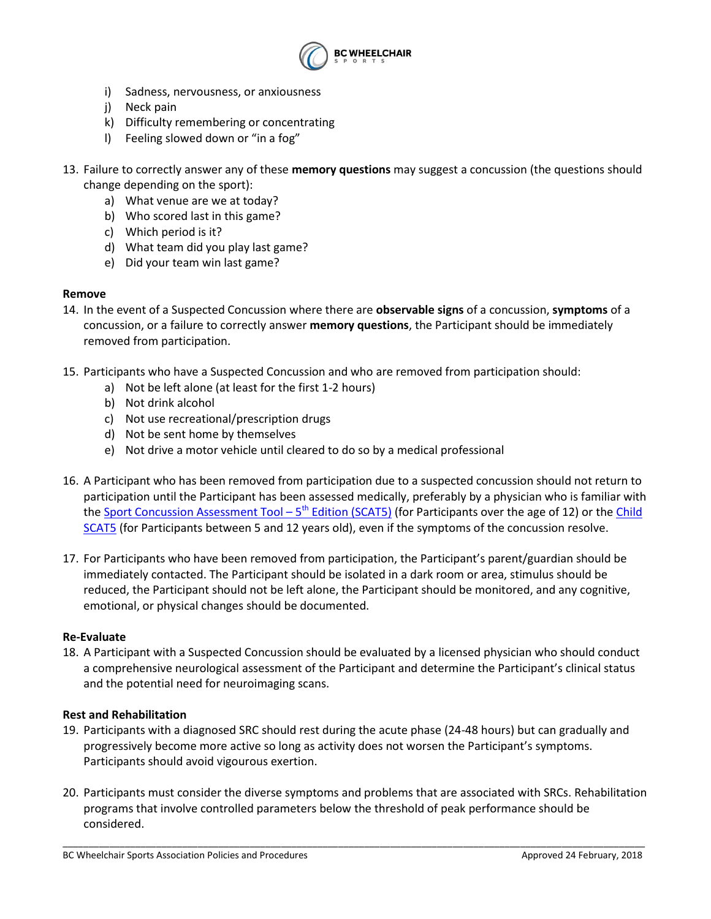

- i) Sadness, nervousness, or anxiousness
- j) Neck pain
- k) Difficulty remembering or concentrating
- l) Feeling slowed down or "in a fog"
- 13. Failure to correctly answer any of these **memory questions** may suggest a concussion (the questions should change depending on the sport):
	- a) What venue are we at today?
	- b) Who scored last in this game?
	- c) Which period is it?
	- d) What team did you play last game?
	- e) Did your team win last game?

### **Remove**

- 14. In the event of a Suspected Concussion where there are **observable signs** of a concussion, **symptoms** of a concussion, or a failure to correctly answer **memory questions**, the Participant should be immediately removed from participation.
- 15. Participants who have a Suspected Concussion and who are removed from participation should:
	- a) Not be left alone (at least for the first 1-2 hours)
	- b) Not drink alcohol
	- c) Not use recreational/prescription drugs
	- d) Not be sent home by themselves
	- e) Not drive a motor vehicle until cleared to do so by a medical professional
- 16. A Participant who has been removed from participation due to a suspected concussion should not return to participation until the Participant has been assessed medically, preferably by a physician who is familiar with th[e Sport Concussion Assessment Tool](http://www.sportphysio.ca/wp-content/uploads/SCAT-5.pdf) – 5<sup>th</sup> Edition (SCAT5) (for Participants over the age of 12) or the Child [SCAT5](http://www.sportphysio.ca/wp-content/uploads/bjsports-2017-097492childscat5.full-2.pdf) (for Participants between 5 and 12 years old), even if the symptoms of the concussion resolve.
- 17. For Participants who have been removed from participation, the Participant's parent/guardian should be immediately contacted. The Participant should be isolated in a dark room or area, stimulus should be reduced, the Participant should not be left alone, the Participant should be monitored, and any cognitive, emotional, or physical changes should be documented.

### **Re-Evaluate**

18. A Participant with a Suspected Concussion should be evaluated by a licensed physician who should conduct a comprehensive neurological assessment of the Participant and determine the Participant's clinical status and the potential need for neuroimaging scans.

### **Rest and Rehabilitation**

- 19. Participants with a diagnosed SRC should rest during the acute phase (24-48 hours) but can gradually and progressively become more active so long as activity does not worsen the Participant's symptoms. Participants should avoid vigourous exertion.
- 20. Participants must consider the diverse symptoms and problems that are associated with SRCs. Rehabilitation programs that involve controlled parameters below the threshold of peak performance should be considered.

\_\_\_\_\_\_\_\_\_\_\_\_\_\_\_\_\_\_\_\_\_\_\_\_\_\_\_\_\_\_\_\_\_\_\_\_\_\_\_\_\_\_\_\_\_\_\_\_\_\_\_\_\_\_\_\_\_\_\_\_\_\_\_\_\_\_\_\_\_\_\_\_\_\_\_\_\_\_\_\_\_\_\_\_\_\_\_\_\_\_\_\_\_\_\_\_\_\_\_\_\_\_\_\_\_\_\_\_\_\_\_\_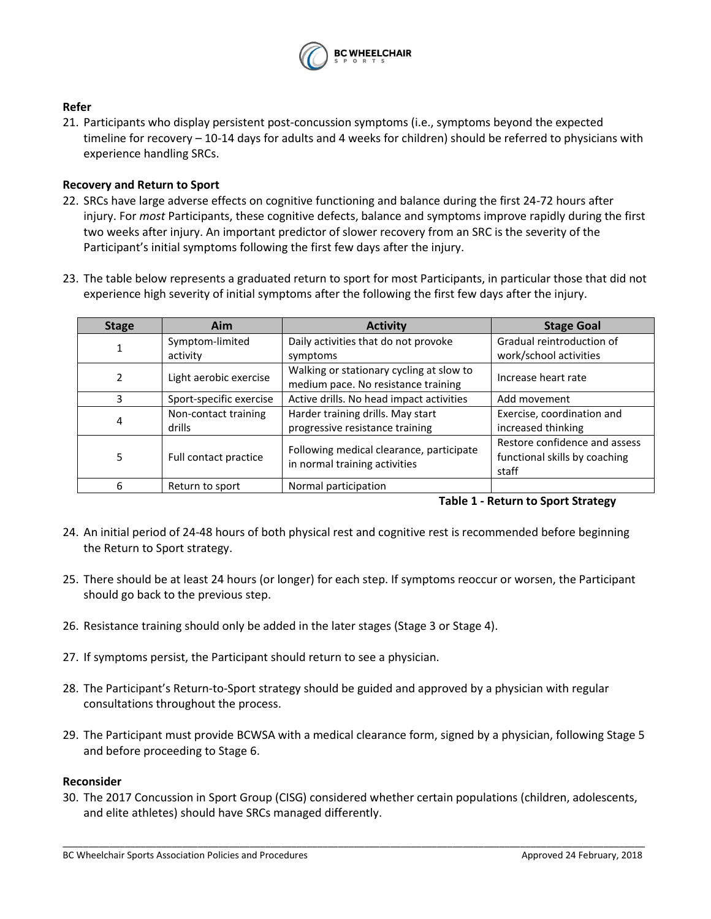

# **Refer**

21. Participants who display persistent post-concussion symptoms (i.e., symptoms beyond the expected timeline for recovery – 10-14 days for adults and 4 weeks for children) should be referred to physicians with experience handling SRCs.

# **Recovery and Return to Sport**

- 22. SRCs have large adverse effects on cognitive functioning and balance during the first 24-72 hours after injury. For *most* Participants, these cognitive defects, balance and symptoms improve rapidly during the first two weeks after injury. An important predictor of slower recovery from an SRC is the severity of the Participant's initial symptoms following the first few days after the injury.
- 23. The table below represents a graduated return to sport for most Participants, in particular those that did not experience high severity of initial symptoms after the following the first few days after the injury.

| <b>Stage</b> | Aim                     | <b>Activity</b>                                                                 | <b>Stage Goal</b>                                                       |
|--------------|-------------------------|---------------------------------------------------------------------------------|-------------------------------------------------------------------------|
|              | Symptom-limited         | Daily activities that do not provoke                                            | Gradual reintroduction of                                               |
|              | activity                | symptoms                                                                        | work/school activities                                                  |
|              | Light aerobic exercise  | Walking or stationary cycling at slow to<br>medium pace. No resistance training | Increase heart rate                                                     |
| 3            | Sport-specific exercise | Active drills. No head impact activities                                        | Add movement                                                            |
| 4            | Non-contact training    | Harder training drills. May start                                               | Exercise, coordination and                                              |
|              | drills                  | progressive resistance training                                                 | increased thinking                                                      |
| 5            | Full contact practice   | Following medical clearance, participate<br>in normal training activities       | Restore confidence and assess<br>functional skills by coaching<br>staff |
| 6            | Return to sport         | Normal participation                                                            |                                                                         |

### **Table 1 - Return to Sport Strategy**

- 24. An initial period of 24-48 hours of both physical rest and cognitive rest is recommended before beginning the Return to Sport strategy.
- 25. There should be at least 24 hours (or longer) for each step. If symptoms reoccur or worsen, the Participant should go back to the previous step.
- 26. Resistance training should only be added in the later stages (Stage 3 or Stage 4).
- 27. If symptoms persist, the Participant should return to see a physician.
- 28. The Participant's Return-to-Sport strategy should be guided and approved by a physician with regular consultations throughout the process.
- 29. The Participant must provide BCWSA with a medical clearance form, signed by a physician, following Stage 5 and before proceeding to Stage 6.

### **Reconsider**

30. The 2017 Concussion in Sport Group (CISG) considered whether certain populations (children, adolescents, and elite athletes) should have SRCs managed differently.

\_\_\_\_\_\_\_\_\_\_\_\_\_\_\_\_\_\_\_\_\_\_\_\_\_\_\_\_\_\_\_\_\_\_\_\_\_\_\_\_\_\_\_\_\_\_\_\_\_\_\_\_\_\_\_\_\_\_\_\_\_\_\_\_\_\_\_\_\_\_\_\_\_\_\_\_\_\_\_\_\_\_\_\_\_\_\_\_\_\_\_\_\_\_\_\_\_\_\_\_\_\_\_\_\_\_\_\_\_\_\_\_